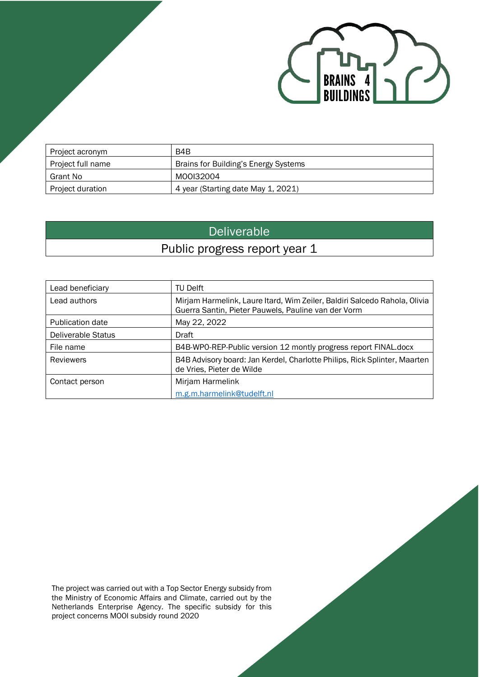

| Project acronym   | B4B                                  |
|-------------------|--------------------------------------|
| Project full name | Brains for Building's Energy Systems |
| Grant No          | M00I32004                            |
| Project duration  | 4 year (Starting date May 1, 2021)   |

# Deliverable

# Public progress report year 1

| Lead beneficiary   | <b>TU Delft</b>                                                                                                                  |
|--------------------|----------------------------------------------------------------------------------------------------------------------------------|
| Lead authors       | Mirjam Harmelink, Laure Itard, Wim Zeiler, Baldiri Salcedo Rahola, Olivia<br>Guerra Santin, Pieter Pauwels, Pauline van der Vorm |
| Publication date   | May 22, 2022                                                                                                                     |
| Deliverable Status | Draft                                                                                                                            |
| File name          | B4B-WPO-REP-Public version 12 montly progress report FINAL docx                                                                  |
| <b>Reviewers</b>   | B4B Advisory board: Jan Kerdel, Charlotte Philips, Rick Splinter, Maarten<br>de Vries, Pieter de Wilde                           |
| Contact person     | Mirjam Harmelink                                                                                                                 |
|                    | m.g.m.harmelink@tudelft.nl                                                                                                       |

The project was carried out with a Top Sector Energy subsidy from the Ministry of Economic Affairs and Climate, carried out by the Netherlands Enterprise Agency. The specific subsidy for this project concerns MOOI subsidy round 2020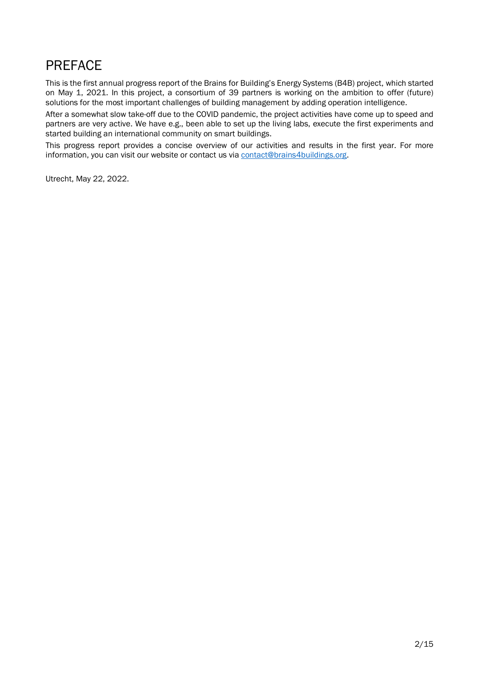# <span id="page-1-0"></span>PREFACE

This is the first annual progress report of the Brains for Building's Energy Systems (B4B) project, which started on May 1, 2021. In this project, a consortium of 39 partners is working on the ambition to offer (future) solutions for the most important challenges of building management by adding operation intelligence.

After a somewhat slow take-off due to the COVID pandemic, the project activities have come up to speed and partners are very active. We have e.g., been able to set up the living labs, execute the first experiments and started building an international community on smart buildings.

This progress report provides a concise overview of our activities and results in the first year. For more information, you can visit our website or contact us vi[a contact@brains4buildings.org.](mailto:contact@brains4buildings.org)

Utrecht, May 22, 2022.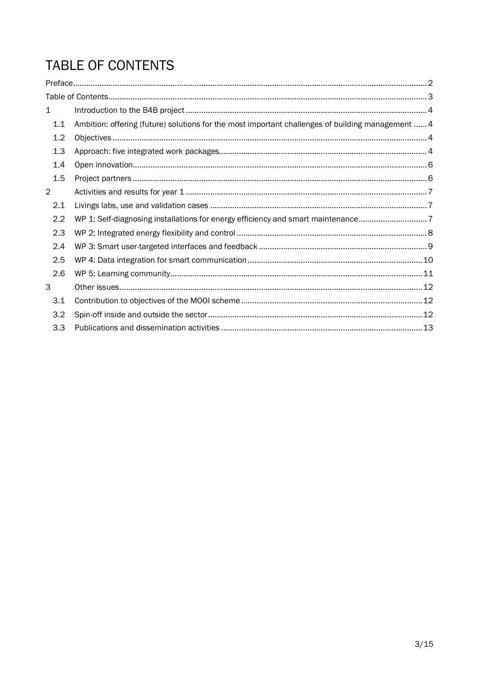# <span id="page-2-0"></span>TABLE OF CONTENTS

| $\mathbf{1}$   |                                                                                                   |  |
|----------------|---------------------------------------------------------------------------------------------------|--|
| 1.1            | Ambition: offering (future) solutions for the most important challenges of building management  4 |  |
| 1.2            |                                                                                                   |  |
| 1.3            |                                                                                                   |  |
| 1.4            |                                                                                                   |  |
| 1.5            |                                                                                                   |  |
| $\overline{2}$ |                                                                                                   |  |
| 2.1            |                                                                                                   |  |
| 2.2            | WP 1: Self-diagnosing installations for energy efficiency and smart maintenance7                  |  |
| 2.3            |                                                                                                   |  |
| 2.4            |                                                                                                   |  |
| 2.5            |                                                                                                   |  |
| 2.6            |                                                                                                   |  |
| 3              |                                                                                                   |  |
| 3.1            |                                                                                                   |  |
| 3.2            |                                                                                                   |  |
| 3.3            |                                                                                                   |  |
|                |                                                                                                   |  |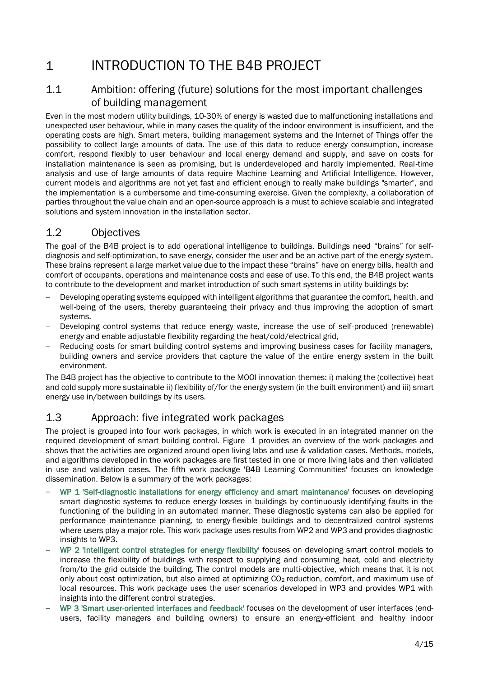# <span id="page-3-0"></span>1 INTRODUCTION TO THE B4B PROJECT

## <span id="page-3-1"></span>1.1 Ambition: offering (future) solutions for the most important challenges of building management

Even in the most modern utility buildings, 10-30% of energy is wasted due to malfunctioning installations and unexpected user behaviour, while in many cases the quality of the indoor environment is insufficient, and the operating costs are high. Smart meters, building management systems and the Internet of Things offer the possibility to collect large amounts of data. The use of this data to reduce energy consumption, increase comfort, respond flexibly to user behaviour and local energy demand and supply, and save on costs for installation maintenance is seen as promising, but is underdeveloped and hardly implemented. Real-time analysis and use of large amounts of data require Machine Learning and Artificial Intelligence. However, current models and algorithms are not yet fast and efficient enough to really make buildings "smarter", and the implementation is a cumbersome and time-consuming exercise. Given the complexity, a collaboration of parties throughout the value chain and an open-source approach is a must to achieve scalable and integrated solutions and system innovation in the installation sector.

## <span id="page-3-2"></span>1.2 Objectives

The goal of the B4B project is to add operational intelligence to buildings. Buildings need "brains" for selfdiagnosis and self-optimization, to save energy, consider the user and be an active part of the energy system. These brains represent a large market value due to the impact these "brains" have on energy bills, health and comfort of occupants, operations and maintenance costs and ease of use. To this end, the B4B project wants to contribute to the development and market introduction of such smart systems in utility buildings by:

- Developing operating systems equipped with intelligent algorithms that guarantee the comfort, health, and well-being of the users, thereby guaranteeing their privacy and thus improving the adoption of smart systems.
- Developing control systems that reduce energy waste, increase the use of self-produced (renewable) energy and enable adjustable flexibility regarding the heat/cold/electrical grid,
- Reducing costs for smart building control systems and improving business cases for facility managers, building owners and service providers that capture the value of the entire energy system in the built environment.

The B4B project has the objective to contribute to the MOOI innovation themes: i) making the (collective) heat and cold supply more sustainable ii) flexibility of/for the energy system (in the built environment) and iii) smart energy use in/between buildings by its users.

## <span id="page-3-3"></span>1.3 Approach: five integrated work packages

The project is grouped into four work packages, in which work is executed in an integrated manner on the required development of smart building control. [Figure 1](#page-4-0) provides an overview of the work packages and shows that the activities are organized around open living labs and use & validation cases. Methods, models, and algorithms developed in the work packages are first tested in one or more living labs and then validated in use and validation cases. The fifth work package 'B4B Learning Communities' focuses on knowledge dissemination. Below is a summary of the work packages:

- − WP 1 'Self-diagnostic installations for energy efficiency and smart maintenance' focuses on developing smart diagnostic systems to reduce energy losses in buildings by continuously identifying faults in the functioning of the building in an automated manner. These diagnostic systems can also be applied for performance maintenance planning, to energy-flexible buildings and to decentralized control systems where users play a major role. This work package uses results from WP2 and WP3 and provides diagnostic insights to WP3.
- − WP 2 'Intelligent control strategies for energy flexibility' focuses on developing smart control models to increase the flexibility of buildings with respect to supplying and consuming heat, cold and electricity from/to the grid outside the building. The control models are multi-objective, which means that it is not only about cost optimization, but also aimed at optimizing CO2 reduction, comfort, and maximum use of local resources. This work package uses the user scenarios developed in WP3 and provides WP1 with insights into the different control strategies.
- − WP 3 'Smart user-oriented interfaces and feedback' focuses on the development of user interfaces (endusers, facility managers and building owners) to ensure an energy-efficient and healthy indoor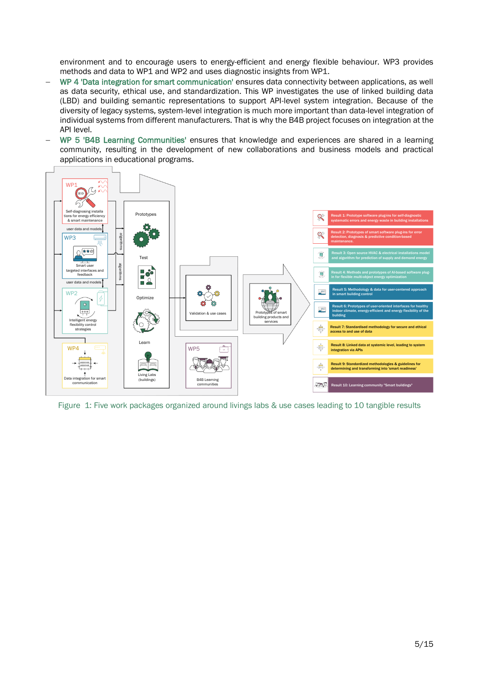environment and to encourage users to energy-efficient and energy flexible behaviour. WP3 provides methods and data to WP1 and WP2 and uses diagnostic insights from WP1.

- − WP 4 'Data integration for smart communication' ensures data connectivity between applications, as well as data security, ethical use, and standardization. This WP investigates the use of linked building data (LBD) and building semantic representations to support API-level system integration. Because of the diversity of legacy systems, system-level integration is much more important than data-level integration of individual systems from different manufacturers. That is why the B4B project focuses on integration at the API level.
- − WP 5 'B4B Learning Communities' ensures that knowledge and experiences are shared in a learning community, resulting in the development of new collaborations and business models and practical applications in educational programs.



<span id="page-4-0"></span>Figure 1: Five work packages organized around livings labs & use cases leading to 10 tangible results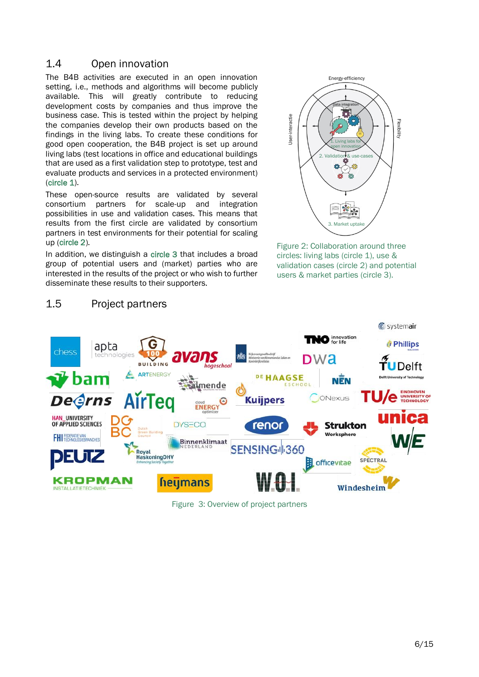## <span id="page-5-0"></span>1.4 Open innovation

The B4B activities are executed in an open innovation setting, *i.e.*, methods and algorithms will become publicly available. This will greatly contribute to reducing development costs by companies and thus improve the business case. This is tested within the project by helping the companies develop their own products based on the findings in the living labs. To create these conditions for good open cooperation, the B4B project is set up around living labs (test locations in office and educational buildings that are used as a first validation step to prototype, test and evaluate products and services in a protected environment) (circle 1).

These open-source results are validated by several consortium partners for scale-up and integration possibilities in use and validation cases. This means that results from the first circle are validated by consortium partners in test environments for their potential for scaling up (circle 2).

In addition, we distinguish a circle 3 that includes a broad group of potential users and (market) parties who are interested in the results of the project or who wish to further disseminate these results to their supporters.



Figure 2: Collaboration around three circles: living labs (circle 1), use & validation cases (circle 2) and potential users & market parties (circle 3).



Figure 3: Overview of project partners

## <span id="page-5-1"></span>1.5 Project partners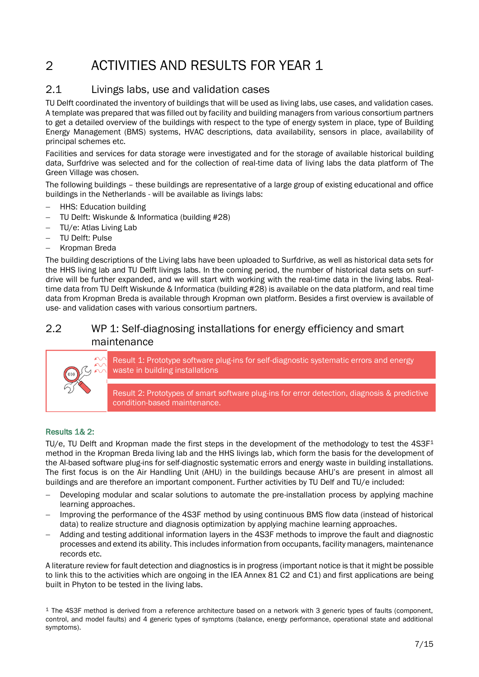# <span id="page-6-0"></span>2 ACTIVITIES AND RESULTS FOR YEAR 1

## <span id="page-6-1"></span>2.1 Livings labs, use and validation cases

TU Delft coordinated the inventory of buildings that will be used as living labs, use cases, and validation cases. A template was prepared that was filled out by facility and building managers from various consortium partners to get a detailed overview of the buildings with respect to the type of energy system in place, type of Building Energy Management (BMS) systems, HVAC descriptions, data availability, sensors in place, availability of principal schemes etc.

Facilities and services for data storage were investigated and for the storage of available historical building data, Surfdrive was selected and for the collection of real-time data of living labs the data platform of The Green Village was chosen.

The following buildings – these buildings are representative of a large group of existing educational and office buildings in the Netherlands - will be available as livings labs:

- − HHS: Education building
- − TU Delft: Wiskunde & Informatica (building #28)
- − TU/e: Atlas Living Lab
- − TU Delft: Pulse
- − Kropman Breda

The building descriptions of the Living labs have been uploaded to Surfdrive, as well as historical data sets for the HHS living lab and TU Delft livings labs. In the coming period, the number of historical data sets on surfdrive will be further expanded, and we will start with working with the real-time data in the living labs. Realtime data from TU Delft Wiskunde & Informatica (building #28) is available on the data platform, and real time data from Kropman Breda is available through Kropman own platform. Besides a first overview is available of use- and validation cases with various consortium partners.

## <span id="page-6-2"></span>2.2 WP 1: Self-diagnosing installations for energy efficiency and smart maintenance



Result 1: Prototype software plug-ins for self-diagnostic systematic errors and energy waste in building installations

Result 2: Prototypes of smart software plug-ins for error detection, diagnosis & predictive condition-based maintenance.

#### Results 1& 2:

TU/e, TU Delft and Kropman made the first steps in the development of the methodology to test the 4S3F<sup>1</sup> method in the Kropman Breda living lab and the HHS livings lab, which form the basis for the development of the AI-based software plug-ins for self-diagnostic systematic errors and energy waste in building installations. The first focus is on the Air Handling Unit (AHU) in the buildings because AHU's are present in almost all buildings and are therefore an important component. Further activities by TU Delf and TU/e included:

- Developing modular and scalar solutions to automate the pre-installation process by applying machine learning approaches.
- − Improving the performance of the 4S3F method by using continuous BMS flow data (instead of historical data) to realize structure and diagnosis optimization by applying machine learning approaches.
- − Adding and testing additional information layers in the 4S3F methods to improve the fault and diagnostic processes and extend its ability. This includes information from occupants, facility managers, maintenance records etc.

A literature review for fault detection and diagnostics is in progress (important notice is that it might be possible to link this to the activities which are ongoing in the IEA Annex 81 C2 and C1) and first applications are being built in Phyton to be tested in the living labs.

 $1$  The 4S3F method is derived from a reference architecture based on a network with 3 generic types of faults (component, control, and model faults) and 4 generic types of symptoms (balance, energy performance, operational state and additional symptoms).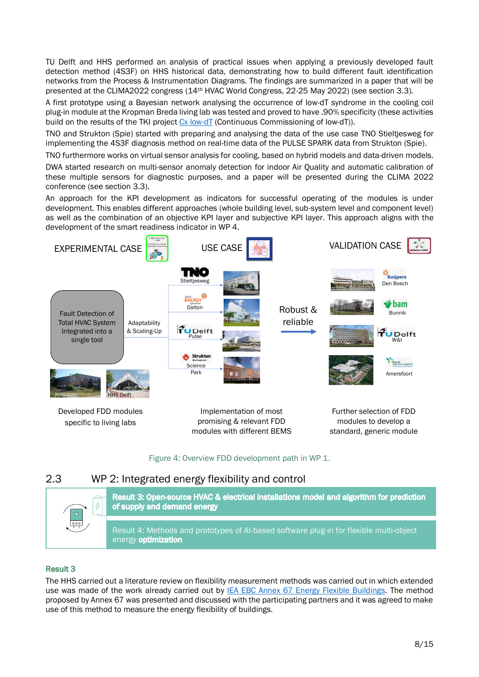TU Delft and HHS performed an analysis of practical issues when applying a previously developed fault detection method (4S3F) on HHS historical data, demonstrating how to build different fault identification networks from the Process & Instrumentation Diagrams. The findings are summarized in a paper that will be presented at the CLIMA2022 congress (14th HVAC World Congress, 22-25 May 2022) (see section [3.3\)](#page-12-0).

A first prototype using a Bayesian network analysing the occurrence of low-dT syndrome in the cooling coil plug-in module at the Kropman Breda living lab was tested and proved to have .90% specificity (these activities build on the results of the TKI project [Cx low-dT](https://projecten.topsectorenergie.nl/projecten/continuous-commissioning-of-low-dt-33028) (Continuous Commissioning of low-dT)).

TNO and Strukton (Spie) started with preparing and analysing the data of the use case TNO Stieltjesweg for implementing the 4S3F diagnosis method on real-time data of the PULSE SPARK data from Strukton (Spie).

TNO furthermore works on virtual sensor analysis for cooling, based on hybrid models and data-driven models.

DWA started research on multi-sensor anomaly detection for indoor Air Quality and automatic calibration of these multiple sensors for diagnostic purposes, and a paper will be presented during the CLIMA 2022 conference (see section [3.3\)](#page-12-0).

An approach for the KPI development as indicators for successful operating of the modules is under development. This enables different approaches (whole building level, sub-system level and component level) as well as the combination of an objective KPI layer and subjective KPI layer. This approach aligns with the development of the smart readiness indicator in WP 4.



#### Figure 4: Overview FDD development path in WP 1.

## <span id="page-7-0"></span>2.3 WP 2: Integrated energy flexibility and control



## Result 3

The HHS carried out a literature review on flexibility measurement methods was carried out in which extended use was made of the work already carried out by [IEA EBC Annex 67 Energy Flexible Buildings.](https://www.annex67.org/) The method proposed by Annex 67 was presented and discussed with the participating partners and it was agreed to make use of this method to measure the energy flexibility of buildings.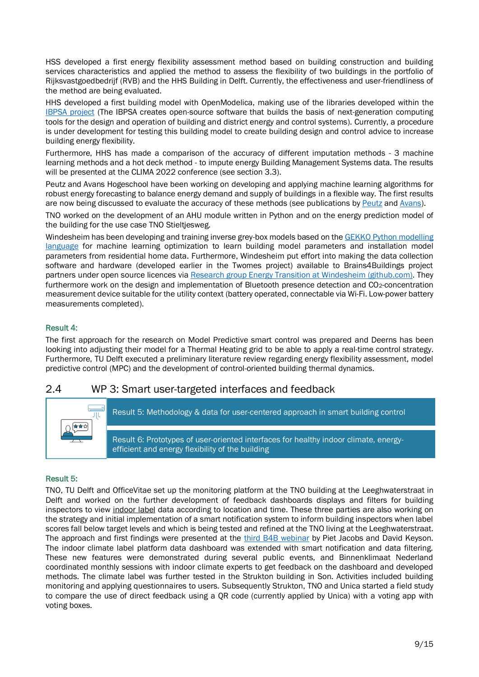HSS developed a first energy flexibility assessment method based on building construction and building services characteristics and applied the method to assess the flexibility of two buildings in the portfolio of Rijksvastgoedbedrijf (RVB) and the HHS Building in Delft. Currently, the effectiveness and user-friendliness of the method are being evaluated.

HHS developed a first building model with OpenModelica, making use of the libraries developed within the [IBPSA project](https://ibpsa.github.io/project1/) (The IBPSA creates open-source software that builds the basis of next-generation computing tools for the design and operation of building and district energy and control systems). Currently, a procedure is under development for testing this building model to create building design and control advice to increase building energy flexibility.

Furthermore, HHS has made a comparison of the accuracy of different imputation methods - 3 machine learning methods and a hot deck method - to impute energy Building Management Systems data. The results will be presented at the CLIMA 2022 conference (see section 3.3).

Peutz and Avans Hogeschool have been working on developing and applying machine learning algorithms for robust energy forecasting to balance energy demand and supply of buildings in a flexible way. The first results are now being discussed to evaluate the accuracy of these methods (see publications by [Peutz](https://peutz.nl/actualiteiten/nieuws/gebouwen-als-dynamische-component-het-energienet) and [Avans\)](https://github.com/AvansETI/SmartGridAI/tree/main/B4B%20Building%20Climate%20Prediction).

TNO worked on the development of an AHU module written in Python and on the energy prediction model of the building for the use case TNO Stieltjesweg.

Windesheim has been developing and training inverse grey-box models based on th[e GEKKO Python modelling](https://eur03.safelinks.protection.outlook.com/?url=https%3A%2F%2Fmachinelearning.byu.edu%2F&data=05%7C01%7CT.B.SalcedoRahola%40hhs.nl%7C245c4a29ed0b48a52e7508da29546cb6%7Ca2586b9bf8674b3c93635b435c5dbc45%7C0%7C1%7C637867739831184584%7CUnknown%7CTWFpbGZsb3d8eyJWIjoiMC4wLjAwMDAiLCJQIjoiV2luMzIiLCJBTiI6Ik1haWwiLCJXVCI6Mn0%3D%7C2000%7C%7C%7C&sdata=k2e%2Fqu05t7yeV%2FDDxdGDMo7uLetNZqSgsJAjxJFxo8I%3D&reserved=0)  [language](https://eur03.safelinks.protection.outlook.com/?url=https%3A%2F%2Fmachinelearning.byu.edu%2F&data=05%7C01%7CT.B.SalcedoRahola%40hhs.nl%7C245c4a29ed0b48a52e7508da29546cb6%7Ca2586b9bf8674b3c93635b435c5dbc45%7C0%7C1%7C637867739831184584%7CUnknown%7CTWFpbGZsb3d8eyJWIjoiMC4wLjAwMDAiLCJQIjoiV2luMzIiLCJBTiI6Ik1haWwiLCJXVCI6Mn0%3D%7C2000%7C%7C%7C&sdata=k2e%2Fqu05t7yeV%2FDDxdGDMo7uLetNZqSgsJAjxJFxo8I%3D&reserved=0) for machine learning optimization to learn building model parameters and installation model parameters from residential home data. Furthermore, Windesheim put effort into making the data collection software and hardware (developed earlier in the Twomes project) available to Brains4Buildings project partners under open source licences via [Research group Energy Transition at Windesheim \(github.com\).](https://eur03.safelinks.protection.outlook.com/?url=https%3A%2F%2Fgithub.com%2Fenergietransitie&data=05%7C01%7CT.B.SalcedoRahola%40hhs.nl%7C245c4a29ed0b48a52e7508da29546cb6%7Ca2586b9bf8674b3c93635b435c5dbc45%7C0%7C1%7C637867739831184584%7CUnknown%7CTWFpbGZsb3d8eyJWIjoiMC4wLjAwMDAiLCJQIjoiV2luMzIiLCJBTiI6Ik1haWwiLCJXVCI6Mn0%3D%7C2000%7C%7C%7C&sdata=aS0X19LUTUhvaSOXmWtMo6LmLlA2VE0eJHgpU4D0B8s%3D&reserved=0) They furthermore work on the design and implementation of Bluetooth presence detection and CO<sub>2</sub>-concentration measurement device suitable for the utility context (battery operated, connectable via Wi-Fi. Low-power battery measurements completed).

### Result 4:

The first approach for the research on Model Predictive smart control was prepared and Deerns has been looking into adjusting their model for a Thermal Heating grid to be able to apply a real-time control strategy. Furthermore, TU Delft executed a preliminary literature review regarding energy flexibility assessment, model predictive control (MPC) and the development of control-oriented building thermal dynamics.

## <span id="page-8-0"></span>2.4 WP 3: Smart user-targeted interfaces and feedback



#### Result 5:

TNO, TU Delft and OfficeVitae set up the monitoring platform at the TNO building at the Leeghwaterstraat in Delft and worked on the further development of feedback dashboards displays and filters for building inspectors to view indoor label data according to location and time. These three parties are also working on the strategy and initial implementation of a smart notification system to inform building inspectors when label scores fall below target levels and which is being tested and refined at the TNO living at the Leeghwaterstraat. The approach and first findings were presented at the [third B4B webinar](https://collegerama.tudelft.nl/Mediasite/Channel/brains4buildings) by Piet Jacobs and David Keyson. The indoor climate label platform data dashboard was extended with smart notification and data filtering. These new features were demonstrated during several public events, and Binnenklimaat Nederland coordinated monthly sessions with indoor climate experts to get feedback on the dashboard and developed methods. The climate label was further tested in the Strukton building in Son. Activities included building monitoring and applying questionnaires to users. Subsequently Strukton, TNO and Unica started a field study to compare the use of direct feedback using a QR code (currently applied by Unica) with a voting app with voting boxes.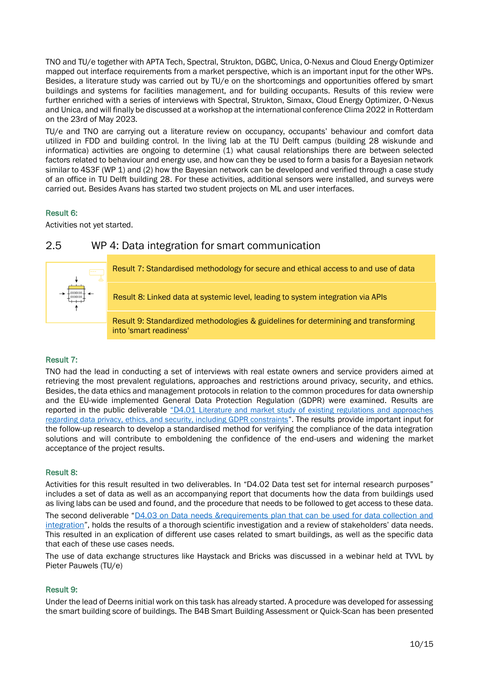TNO and TU/e together with APTA Tech, Spectral, Strukton, DGBC, Unica, O-Nexus and Cloud Energy Optimizer mapped out interface requirements from a market perspective, which is an important input for the other WPs. Besides, a literature study was carried out by TU/e on the shortcomings and opportunities offered by smart buildings and systems for facilities management, and for building occupants. Results of this review were further enriched with a series of interviews with Spectral, Strukton, Simaxx, Cloud Energy Optimizer, O-Nexus and Unica, and will finally be discussed at a workshop at [the international conference Clima 2022](https://clima2022.org/extra_content/seminar-smart-buildings-interfaces-for-managers-of-buildings-and-facilities-intelligence-needed-for-occupant-hvac-interfaces-at-room-level/) in Rotterdam on the 23rd of May 2023.

TU/e and TNO are carrying out a literature review on occupancy, occupants' behaviour and comfort data utilized in FDD and building control. In the living lab at the TU Delft campus (building 28 wiskunde and informatica) activities are ongoing to determine (1) what causal relationships there are between selected factors related to behaviour and energy use, and how can they be used to form a basis for a Bayesian network similar to 4S3F (WP 1) and (2) how the Bayesian network can be developed and verified through a case study of an office in TU Delft building 28. For these activities, additional sensors were installed, and surveys were carried out. Besides Avans has started two student projects on ML and user interfaces.

## Result 6:

<span id="page-9-0"></span>Activities not yet started.

## 2.5 WP 4: Data integration for smart communication



## Result 7:

TNO had the lead in conducting a set of interviews with real estate owners and service providers aimed at retrieving the most prevalent regulations, approaches and restrictions around privacy, security, and ethics. Besides, the data ethics and management protocols in relation to the common procedures for data ownership and the EU-wide implemented General Data Protection Regulation (GDPR) were examined. Results are reported in the public deliverable "D4.01 [Literature and market study of existing regulations and approaches](https://brains4buildings.org/wp-content/uploads/2022/02/B4B-WP4-D4.1_Study-on-data-privacy-security-and-ethics_FINAL.pdf)  [regarding data privacy, ethics, and security, including GDPR constraints](https://brains4buildings.org/wp-content/uploads/2022/02/B4B-WP4-D4.1_Study-on-data-privacy-security-and-ethics_FINAL.pdf)". The results provide important input for the follow-up research to develop a standardised method for verifying the compliance of the data integration solutions and will contribute to emboldening the confidence of the end-users and widening the market acceptance of the project results.

## Result 8:

Activities for this result resulted in two deliverables. In "D4.02 Data test set for internal research purposes" includes a set of data as well as an accompanying report that documents how the data from buildings used as living labs can be used and found, and the procedure that needs to be followed to get access to these data.

The second deliverable "D4.03 on Data needs &requirements plan that can be used for data collection and [integration](https://brains4buildings.org/wp-content/uploads/2022/05/B4B-WP4-D4.03_Data-Needs-and-Requirements-1.pdf)", holds the results of a thorough scientific investigation and a review of stakeholders' data needs. This resulted in an explication of different use cases related to smart buildings, as well as the specific data that each of these use cases needs.

The use of data exchange structures like Haystack and Bricks was discussed in a webinar held at TVVL by Pieter Pauwels (TU/e)

#### Result 9:

Under the lead of Deerns initial work on this task has already started. A procedure was developed for assessing the smart building score of buildings. The B4B Smart Building Assessment or Quick-Scan has been presented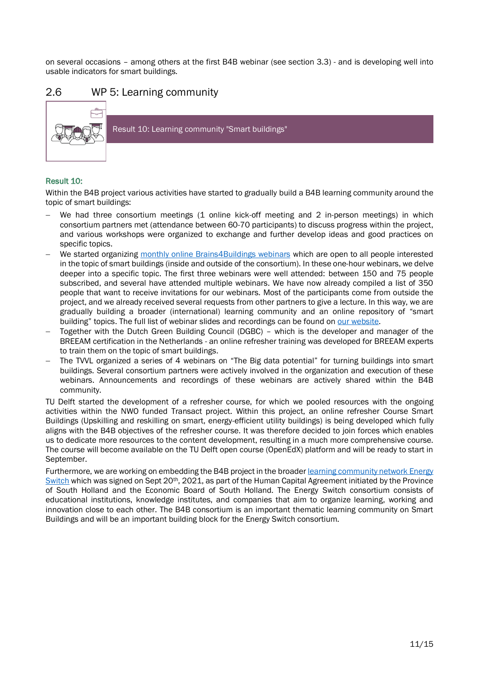on several occasions – among others at the first B4B webinar (see section 3.3) - and is developing well into usable indicators for smart buildings.

## <span id="page-10-0"></span>2.6 WP 5: Learning community



### Result 10:

Within the B4B project various activities have started to gradually build a B4B learning community around the topic of smart buildings:

- We had three consortium meetings (1 online kick-off meeting and 2 in-person meetings) in which consortium partners met (attendance between 60-70 participants) to discuss progress within the project, and various workshops were organized to exchange and further develop ideas and good practices on specific topics.
- We started organizing [monthly online Brains4Buildings webinars](https://brains4buildings.org/news/) which are open to all people interested in the topic of smart buildings (inside and outside of the consortium). In these one-hour webinars, we delve deeper into a specific topic. The first three webinars were well attended: between 150 and 75 people subscribed, and several have attended multiple webinars. We have now already compiled a list of 350 people that want to receive invitations for our webinars. Most of the participants come from outside the project, and we already received several requests from other partners to give a lecture. In this way, we are gradually building a broader (international) learning community and an online repository of "smart building" topics. The full list of webinar slides and recordings can be found o[n our website.](https://brains4buildings.org/learning-community/)
- − Together with the Dutch Green Building Council (DGBC) which is the developer and manager of the BREEAM certification in the Netherlands - an online refresher training was developed for BREEAM experts to train them on the topic of smart buildings.
- The TVVL organized a series of 4 webinars on "The Big data potential" for turning buildings into smart buildings. Several consortium partners were actively involved in the organization and execution of these webinars. Announcements and recordings of these webinars are actively shared within the B4B community.

TU Delft started the development of a refresher course, for which we pooled resources with the ongoing activities within the NWO funded Transact project. Within this project, an online refresher Course Smart Buildings (Upskilling and reskilling on smart, energy-efficient utility buildings) is being developed which fully aligns with the B4B objectives of the refresher course. It was therefore decided to join forces which enables us to dedicate more resources to the content development, resulting in a much more comprehensive course. The course will become available on the TU Delft open course (OpenEdX) platform and will be ready to start in September.

Furthermore, we are working on embedding the B4B project in the broade[r learning community network Energy](https://www.tudelft.nl/extension-school/our-impact/education-projects/energy-switch-initiative)  [Switch](https://www.tudelft.nl/extension-school/our-impact/education-projects/energy-switch-initiative) which was signed on Sept 20th, 2021, as part of the Human Capital Agreement initiated by the Province of South Holland and the Economic Board of South Holland. The Energy Switch consortium consists of educational institutions, knowledge institutes, and companies that aim to organize learning, working and innovation close to each other. The B4B consortium is an important thematic learning community on Smart Buildings and will be an important building block for the Energy Switch consortium.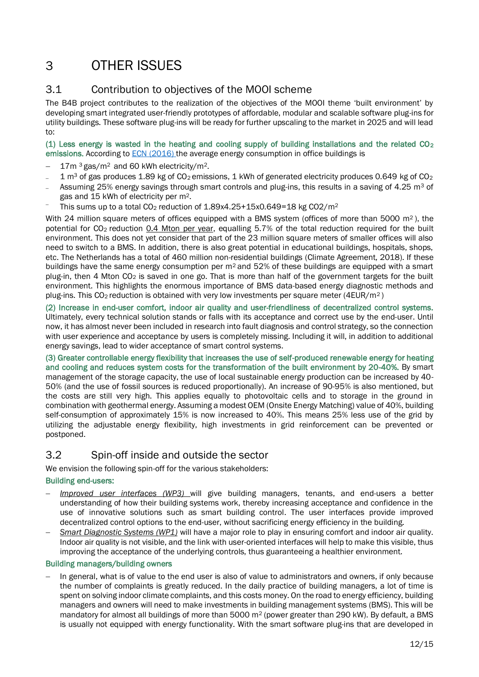# <span id="page-11-0"></span>3 OTHER ISSUES

## <span id="page-11-1"></span>3.1 Contribution to objectives of the MOOI scheme

The B4B project contributes to the realization of the objectives of the MOOI theme 'built environment' by developing smart integrated user-friendly prototypes of affordable, modular and scalable software plug-ins for utility buildings. These software plug-ins will be ready for further upscaling to the market in 2025 and will lead to:

(1) Less energy is wasted in the heating and cooling supply of building installations and the related  $CO<sub>2</sub>$ emissions. According to [ECN \(2016\) t](https://publicaties.ecn.nl/ECN-E--16-056)he average energy consumption in office buildings is

- 17m 3 gas/m<sup>2</sup> and 60 kWh electricity/m<sup>2</sup>.
- 1 m<sup>3</sup> of gas produces 1.89 kg of CO<sub>2</sub> emissions, 1 kWh of generated electricity produces 0.649 kg of CO<sub>2</sub>
- Assuming 25% energy savings through smart controls and plug-ins, this results in a saving of 4.25 m<sup>3</sup> of
- gas and 15 kWh of electricity per m2. This sums up to a total CO<sub>2</sub> reduction of 1.89x4.25+15x0.649=18 kg CO2/m<sup>2</sup>

With 24 million square meters of offices equipped with a BMS system (offices of more than 5000 m<sup>2</sup>), the potential for CO<sub>2</sub> reduction 0.4 Mton per year, equalling 5.7% of the total reduction required for the built environment. This does not yet consider that part of the 23 million square meters of smaller offices will also need to switch to a BMS. In addition, there is also great potential in educational buildings, hospitals, shops, etc. The Netherlands has a total of 460 million non-residential buildings (Climate Agreement, 2018). If these buildings have the same energy consumption per  $m^2$  and 52% of these buildings are equipped with a smart plug-in, then 4 Mton CO<sup>2</sup> is saved in one go. That is more than half of the government targets for the built environment. This highlights the enormous importance of BMS data-based energy diagnostic methods and plug-ins. This  $CO<sub>2</sub>$  reduction is obtained with very low investments per square meter (4EUR/m<sup>2</sup>)

(2) Increase in end-user comfort, indoor air quality and user-friendliness of decentralized control systems. Ultimately, every technical solution stands or falls with its acceptance and correct use by the end-user. Until now, it has almost never been included in research into fault diagnosis and control strategy, so the connection with user experience and acceptance by users is completely missing. Including it will, in addition to additional energy savings, lead to wider acceptance of smart control systems.

(3) Greater controllable energy flexibility that increases the use of self-produced renewable energy for heating and cooling and reduces system costs for the transformation of the built environment by 20-40%. By smart management of the storage capacity, the use of local sustainable energy production can be increased by 40- 50% (and the use of fossil sources is reduced proportionally). An increase of 90-95% is also mentioned, but the costs are still very high. This applies equally to photovoltaic cells and to storage in the ground in combination with geothermal energy. Assuming a modest OEM (Onsite Energy Matching) value of 40%, building self-consumption of approximately 15% is now increased to 40%. This means 25% less use of the grid by utilizing the adjustable energy flexibility, high investments in grid reinforcement can be prevented or postponed.

# <span id="page-11-2"></span>3.2 Spin-off inside and outside the sector

We envision the following spin-off for the various stakeholders:

## Building end-users:

- − *Improved user interfaces (WP3)* will give building managers, tenants, and end-users a better understanding of how their building systems work, thereby increasing acceptance and confidence in the use of innovative solutions such as smart building control. The user interfaces provide improved decentralized control options to the end-user, without sacrificing energy efficiency in the building.
- − *Smart Diagnostic Systems (WP1)* will have a major role to play in ensuring comfort and indoor air quality. Indoor air quality is not visible, and the link with user-oriented interfaces will help to make this visible, thus improving the acceptance of the underlying controls, thus guaranteeing a healthier environment.

#### Building managers/building owners

In general, what is of value to the end user is also of value to administrators and owners, if only because the number of complaints is greatly reduced. In the daily practice of building managers, a lot of time is spent on solving indoor climate complaints, and this costs money. On the road to energy efficiency, building managers and owners will need to make investments in building management systems (BMS). This will be mandatory for almost all buildings of more than 5000 m<sup>2</sup> (power greater than 290 kW). By default, a BMS is usually not equipped with energy functionality. With the smart software plug-ins that are developed in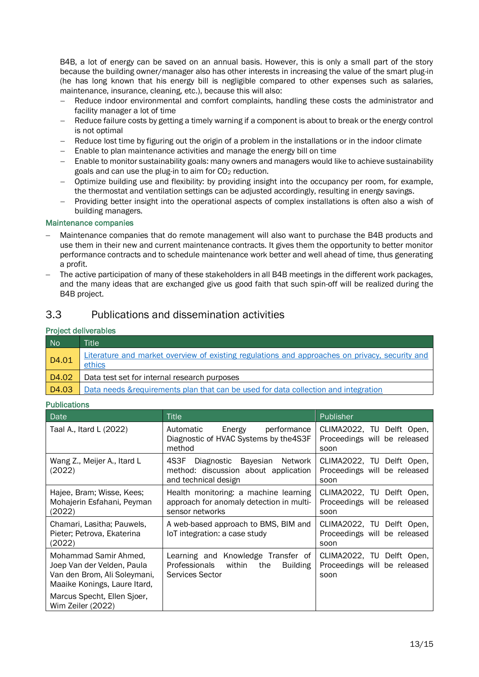B4B, a lot of energy can be saved on an annual basis. However, this is only a small part of the story because the building owner/manager also has other interests in increasing the value of the smart plug-in (he has long known that his energy bill is negligible compared to other expenses such as salaries, maintenance, insurance, cleaning, etc.), because this will also:

- − Reduce indoor environmental and comfort complaints, handling these costs the administrator and facility manager a lot of time
- Reduce failure costs by getting a timely warning if a component is about to break or the energy control is not optimal
- Reduce lost time by figuring out the origin of a problem in the installations or in the indoor climate
- − Enable to plan maintenance activities and manage the energy bill on time
- Enable to monitor sustainability goals: many owners and managers would like to achieve sustainability goals and can use the plug-in to aim for CO<sup>2</sup> reduction.
- − Optimize building use and flexibility: by providing insight into the occupancy per room, for example, the thermostat and ventilation settings can be adjusted accordingly, resulting in energy savings.
- Providing better insight into the operational aspects of complex installations is often also a wish of building managers.

### Maintenance companies

- − Maintenance companies that do remote management will also want to purchase the B4B products and use them in their new and current maintenance contracts. It gives them the opportunity to better monitor performance contracts and to schedule maintenance work better and well ahead of time, thus generating a profit.
- The active participation of many of these stakeholders in all B4B meetings in the different work packages, and the many ideas that are exchanged give us good faith that such spin-off will be realized during the B4B project.

## <span id="page-12-0"></span>3.3 Publications and dissemination activities

### Project deliverables

| <b>No</b> | <b>Title</b>                                                                                             |
|-----------|----------------------------------------------------------------------------------------------------------|
| D4.01     | Literature and market overview of existing regulations and approaches on privacy, security and<br>ethics |
| D4.02     | Data test set for internal research purposes                                                             |
| D4.03     | Data needs & requirements plan that can be used for data collection and integration                      |

#### Publications

| Date                                                                                                                | <b>Title</b>                                                                                            | <b>Publisher</b>                                                  |
|---------------------------------------------------------------------------------------------------------------------|---------------------------------------------------------------------------------------------------------|-------------------------------------------------------------------|
| Taal A., Itard L (2022)                                                                                             | Energy performance<br>Automatic<br>Diagnostic of HVAC Systems by the 4S3F<br>method                     | CLIMA2022, TU Delft Open,<br>Proceedings will be released<br>soon |
| Wang Z., Meijer A., Itard L<br>(2022)                                                                               | 4S3F<br>Diagnostic Bayesian Network<br>method: discussion about application<br>and technical design     | CLIMA2022, TU Delft Open,<br>Proceedings will be released<br>soon |
| Hajee, Bram; Wisse, Kees;<br>Mohajerin Esfahani, Peyman<br>(2022)                                                   | Health monitoring: a machine learning<br>approach for anomaly detection in multi-<br>sensor networks    | CLIMA2022, TU Delft Open,<br>Proceedings will be released<br>soon |
| Chamari, Lasitha; Pauwels,<br>Pieter; Petrova, Ekaterina<br>(2022)                                                  | A web-based approach to BMS, BIM and<br>loT integration: a case study                                   | CLIMA2022, TU Delft Open,<br>Proceedings will be released<br>soon |
| Mohammad Samir Ahmed,<br>Joep Van der Velden, Paula<br>Van den Brom, Ali Soleymani,<br>Maaike Konings, Laure Itard, | Learning and Knowledge Transfer of<br>Professionals within<br>the<br><b>Building</b><br>Services Sector | CLIMA2022, TU Delft Open,<br>Proceedings will be released<br>soon |
| Marcus Specht, Ellen Sjoer,<br>Wim Zeiler (2022)                                                                    |                                                                                                         |                                                                   |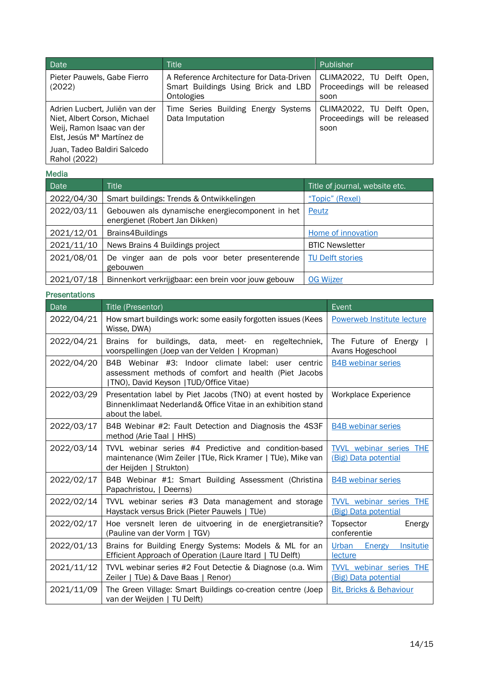| <b>Date</b>                                                                                                               | Title                                                                                         | Publisher                                                         |
|---------------------------------------------------------------------------------------------------------------------------|-----------------------------------------------------------------------------------------------|-------------------------------------------------------------------|
| Pieter Pauwels, Gabe Fierro<br>(2022)                                                                                     | A Reference Architecture for Data-Driven<br>Smart Buildings Using Brick and LBD<br>Ontologies | CLIMA2022, TU Delft Open,<br>Proceedings will be released<br>soon |
| Adrien Lucbert, Juliën van der<br>Niet, Albert Corson, Michael<br>Weij, Ramon Isaac van der<br>Elst, Jesús Mª Martínez de | Time Series Building Energy Systems<br>Data Imputation                                        | CLIMA2022, TU Delft Open,<br>Proceedings will be released<br>soon |
| Juan, Tadeo Baldiri Salcedo<br>Rahol (2022)                                                                               |                                                                                               |                                                                   |

#### Media

| <b>Date</b> | <b>Title</b>                                                                      | Title of journal, website etc. |
|-------------|-----------------------------------------------------------------------------------|--------------------------------|
| 2022/04/30  | Smart buildings: Trends & Ontwikkelingen                                          | "Topic" (Rexel)                |
| 2022/03/11  | Gebouwen als dynamische energiecomponent in het<br>energienet (Robert Jan Dikken) | Peutz                          |
| 2021/12/01  | Brains4Buildings                                                                  | Home of innovation             |
| 2021/11/10  | News Brains 4 Buildings project                                                   | <b>BTIC Newsletter</b>         |
| 2021/08/01  | De vinger aan de pols voor beter presenterende<br>gebouwen                        | <b>TU Delft stories</b>        |
| 2021/07/18  | Binnenkort verkrijgbaar: een brein voor jouw gebouw                               | <b>OG Wijzer</b>               |

#### Presentations

| Date       | Title (Presentor)                                                                                                                                     | Event                                                  |
|------------|-------------------------------------------------------------------------------------------------------------------------------------------------------|--------------------------------------------------------|
| 2022/04/21 | How smart buildings work: some easily forgotten issues (Kees<br>Wisse, DWA)                                                                           | <b>Powerweb Institute lecture</b>                      |
| 2022/04/21 | Brains for buildings, data, meet- en regeltechniek,<br>voorspellingen (Joep van der Velden   Kropman)                                                 | The Future of Energy  <br>Avans Hogeschool             |
| 2022/04/20 | B4B Webinar #3: Indoor climate label: user centric<br>assessment methods of comfort and health (Piet Jacobs<br>[TNO), David Keyson [TUD/Office Vitae) | <b>B4B</b> webinar series                              |
| 2022/03/29 | Presentation label by Piet Jacobs (TNO) at event hosted by<br>Binnenklimaat Nederland& Office Vitae in an exhibition stand<br>about the label.        | <b>Workplace Experience</b>                            |
| 2022/03/17 | B4B Webinar #2: Fault Detection and Diagnosis the 4S3F<br>method (Arie Taal   HHS)                                                                    | <b>B4B</b> webinar series                              |
| 2022/03/14 | TVVL webinar series #4 Predictive and condition-based<br>maintenance (Wim Zeiler   TUe, Rick Kramer   TUe), Mike van<br>der Heijden   Strukton)       | <b>TVVL</b> webinar series THE<br>(Big) Data potential |
| 2022/02/17 | B4B Webinar #1: Smart Building Assessment (Christina<br>Papachristou,   Deerns)                                                                       | <b>B4B</b> webinar series                              |
| 2022/02/14 | TVVL webinar series #3 Data management and storage<br>Haystack versus Brick (Pieter Pauwels   TUe)                                                    | <b>TVVL</b> webinar series THE<br>(Big) Data potential |
| 2022/02/17 | Hoe versnelt leren de uitvoering in de energietransitie?<br>(Pauline van der Vorm   TGV)                                                              | Topsector<br>Energy<br>conferentie                     |
| 2022/01/13 | Brains for Building Energy Systems: Models & ML for an<br>Efficient Approach of Operation (Laure Itard   TU Delft)                                    | Urban<br>Energy<br><b>Insitutie</b><br>lecture         |
| 2021/11/12 | TVVL webinar series #2 Fout Detectie & Diagnose (o.a. Wim<br>Zeiler   TUe) & Dave Baas   Renor)                                                       | TVVL webinar series THE<br>(Big) Data potential        |
| 2021/11/09 | The Green Village: Smart Buildings co-creation centre (Joep<br>van der Weijden   TU Delft)                                                            | <b>Bit, Bricks &amp; Behaviour</b>                     |